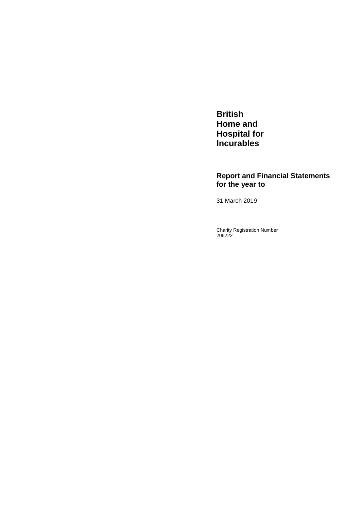**British Home and Hospital for Incurables**

# **Report and Financial Statements for the year to**

31 March 2019

Charity Registration Number 206222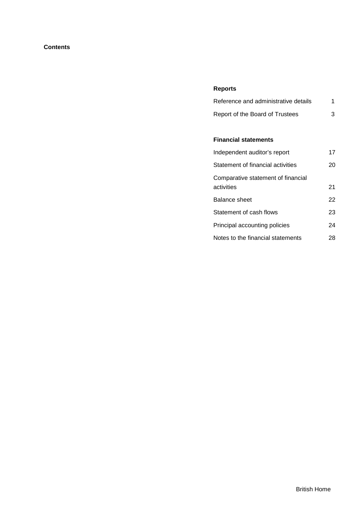# **Contents**

# **Reports**

| Reference and administrative details |   |
|--------------------------------------|---|
| Report of the Board of Trustees      | 3 |

# **Financial statements**

| Independent auditor's report                     | 17 |
|--------------------------------------------------|----|
| Statement of financial activities                | 20 |
| Comparative statement of financial<br>activities | 21 |
| <b>Balance sheet</b>                             | 22 |
| Statement of cash flows                          | 23 |
| Principal accounting policies                    | 24 |
| Notes to the financial statements                | 28 |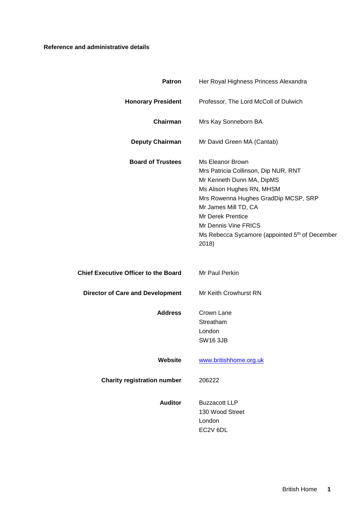# **Reference and administrative details**

<span id="page-2-0"></span>

| <b>Patron</b>                               | Her Royal Highness Princess Alexandra                                                                                                                                                                                                                                                      |
|---------------------------------------------|--------------------------------------------------------------------------------------------------------------------------------------------------------------------------------------------------------------------------------------------------------------------------------------------|
| <b>Honorary President</b>                   | Professor, The Lord McColl of Dulwich                                                                                                                                                                                                                                                      |
| Chairman                                    | Mrs Kay Sonneborn BA                                                                                                                                                                                                                                                                       |
| <b>Deputy Chairman</b>                      | Mr David Green MA (Cantab)                                                                                                                                                                                                                                                                 |
| <b>Board of Trustees</b>                    | Ms Eleanor Brown<br>Mrs Patricia Collinson, Dip NUR, RNT<br>Mr Kenneth Dunn MA, DipMS<br>Ms Alison Hughes RN, MHSM<br>Mrs Rowenna Hughes GradDip MCSP, SRP<br>Mr James Mill TD, CA<br>Mr Derek Prentice<br>Mr Dennis Vine FRICS<br>Ms Rebecca Sycamore (appointed 5th of December<br>2018) |
| <b>Chief Executive Officer to the Board</b> | Mr Paul Perkin                                                                                                                                                                                                                                                                             |
| <b>Director of Care and Development</b>     | Mr Keith Crowhurst RN                                                                                                                                                                                                                                                                      |
| <b>Address</b>                              | Crown Lane<br>Streatham<br>London<br><b>SW16 3JB</b>                                                                                                                                                                                                                                       |
| Website                                     | www.britishhome.org.uk                                                                                                                                                                                                                                                                     |
| <b>Charity registration number</b>          | 206222                                                                                                                                                                                                                                                                                     |
| <b>Auditor</b>                              | <b>Buzzacott LLP</b><br>130 Wood Street<br>London<br>EC2V 6DL                                                                                                                                                                                                                              |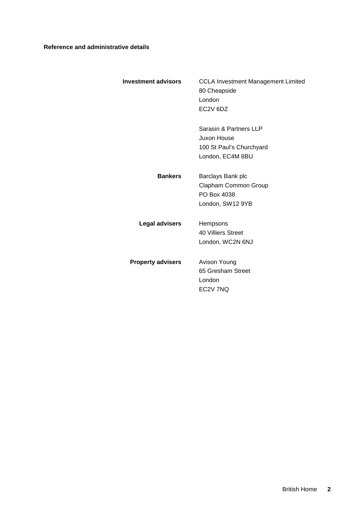# **Reference and administrative details**

| <b>Investment advisors</b> | <b>CCLA Investment Management Limited</b><br>80 Cheapside<br>London<br>EC <sub>2</sub> V <sub>6</sub> D <sub>Z</sub> |
|----------------------------|----------------------------------------------------------------------------------------------------------------------|
|                            | Sarasin & Partners LLP<br>Juxon House<br>100 St Paul's Churchyard<br>London, EC4M 8BU                                |
| <b>Bankers</b>             | Barclays Bank plc<br>Clapham Common Group<br>PO Box 4038<br>London, SW12 9YB                                         |
| <b>Legal advisers</b>      | Hempsons<br>40 Villiers Street<br>London, WC2N 6NJ                                                                   |
| <b>Property advisers</b>   | Avison Young<br>65 Gresham Street<br>London<br>EC2V 7NQ                                                              |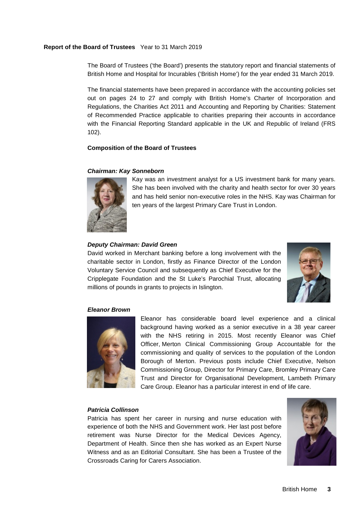<span id="page-4-0"></span>The Board of Trustees ('the Board') presents the statutory report and financial statements of British Home and Hospital for Incurables ('British Home') for the year ended 31 March 2019.

The financial statements have been prepared in accordance with the accounting policies set out on pages [24](#page-25-0) to [27](#page-28-0) and comply with British Home's Charter of Incorporation and Regulations, the Charities Act 2011 and Accounting and Reporting by Charities: Statement of Recommended Practice applicable to charities preparing their accounts in accordance with the Financial Reporting Standard applicable in the UK and Republic of Ireland (FRS 102).

## **Composition of the Board of Trustees**

## *Chairman: Kay Sonneborn*



Kay was an investment analyst for a US investment bank for many years. She has been involved with the charity and health sector for over 30 years and has held senior non-executive roles in the NHS. Kay was Chairman for ten years of the largest Primary Care Trust in London.

## *Deputy Chairman: David Green*

David worked in Merchant banking before a long involvement with the charitable sector in London, firstly as Finance Director of the London Voluntary Service Council and subsequently as Chief Executive for the Cripplegate Foundation and the St Luke's Parochial Trust, allocating millions of pounds in grants to projects in Islington.



#### *Eleanor Brown*



Eleanor has considerable board level experience and a clinical background having worked as a senior executive in a 38 year career with the NHS retiring in 2015. Most recently Eleanor was Chief Officer, Merton Clinical Commissioning Group Accountable for the commissioning and quality of services to the population of the London Borough of Merton. Previous posts include Chief Executive, Nelson Commissioning Group, Director for Primary Care, Bromley Primary Care Trust and Director for Organisational Development, Lambeth Primary Care Group. Eleanor has a particular interest in end of life care.

# *Patricia Collinson*

Patricia has spent her career in nursing and nurse education with experience of both the NHS and Government work. Her last post before retirement was Nurse Director for the Medical Devices Agency, Department of Health. Since then she has worked as an Expert Nurse Witness and as an Editorial Consultant. She has been a Trustee of the Crossroads Caring for Carers Association.

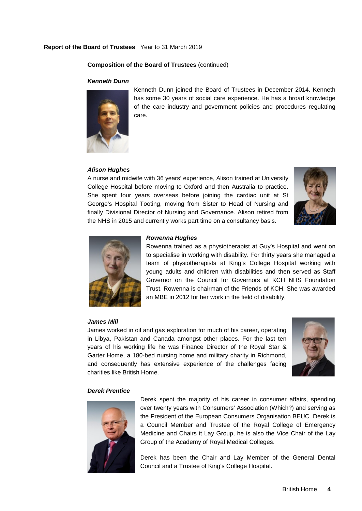## **Composition of the Board of Trustees** (continued)

## *Kenneth Dunn*



Kenneth Dunn joined the Board of Trustees in December 2014. Kenneth has some 30 years of social care experience. He has a broad knowledge of the care industry and government policies and procedures regulating care.

## *Alison Hughes*

A nurse and midwife with 36 years' experience, Alison trained at University College Hospital before moving to Oxford and then Australia to practice. She spent four years overseas before joining the cardiac unit at St George's Hospital Tooting, moving from Sister to Head of Nursing and finally Divisional Director of Nursing and Governance. Alison retired from the NHS in 2015 and currently works part time on a consultancy basis.





## *Rowenna Hughes*

Rowenna trained as a physiotherapist at Guy's Hospital and went on to specialise in working with disability. For thirty years she managed a team of physiotherapists at King's College Hospital working with young adults and children with disabilities and then served as Staff Governor on the Council for Governors at KCH NHS Foundation Trust. Rowenna is chairman of the Friends of KCH. She was awarded an MBE in 2012 for her work in the field of disability.

## *James Mill*

James worked in oil and gas exploration for much of his career, operating in Libya, Pakistan and Canada amongst other places. For the last ten years of his working life he was Finance Director of the Royal Star & Garter Home, a 180-bed nursing home and military charity in Richmond, and consequently has extensive experience of the challenges facing charities like British Home.



## *Derek Prentice*



Derek spent the majority of his career in consumer affairs, spending over twenty years with Consumers' Association (Which?) and serving as the President of the European Consumers Organisation BEUC. Derek is a Council Member and Trustee of the Royal College of Emergency Medicine and Chairs it Lay Group, he is also the Vice Chair of the Lay Group of the Academy of Royal Medical Colleges.

Derek has been the Chair and Lay Member of the General Dental Council and a Trustee of King's College Hospital.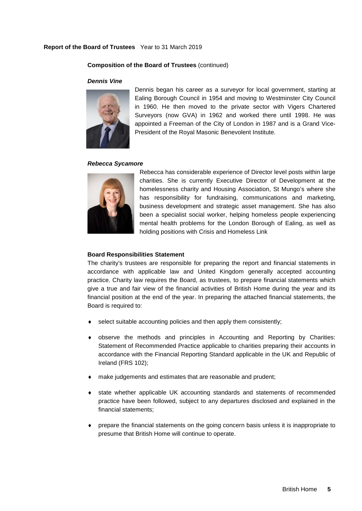## **Composition of the Board of Trustees** (continued)

#### *Dennis Vine*



Dennis began his career as a surveyor for local government, starting at Ealing Borough Council in 1954 and moving to Westminster City Council in 1960. He then moved to the private sector with Vigers Chartered Surveyors (now GVA) in 1962 and worked there until 1998. He was appointed a Freeman of the City of London in 1987 and is a Grand Vice-President of the Royal Masonic Benevolent Institute.

#### *Rebecca Sycamore*



Rebecca has considerable experience of Director level posts within large charities. She is currently Executive Director of Development at the homelessness charity and Housing Association, St Mungo's where she has responsibility for fundraising, communications and marketing, business development and strategic asset management. She has also been a specialist social worker, helping homeless people experiencing mental health problems for the London Borough of Ealing, as well as holding positions with Crisis and Homeless Link

## **Board Responsibilities Statement**

The charity's trustees are responsible for preparing the report and financial statements in accordance with applicable law and United Kingdom generally accepted accounting practice. Charity law requires the Board, as trustees, to prepare financial statements which give a true and fair view of the financial activities of British Home during the year and its financial position at the end of the year. In preparing the attached financial statements, the Board is required to:

- select suitable accounting policies and then apply them consistently;
- ♦ observe the methods and principles in Accounting and Reporting by Charities: Statement of Recommended Practice applicable to charities preparing their accounts in accordance with the Financial Reporting Standard applicable in the UK and Republic of Ireland (FRS 102);
- make judgements and estimates that are reasonable and prudent;
- state whether applicable UK accounting standards and statements of recommended practice have been followed, subject to any departures disclosed and explained in the financial statements;
- ♦ prepare the financial statements on the going concern basis unless it is inappropriate to presume that British Home will continue to operate.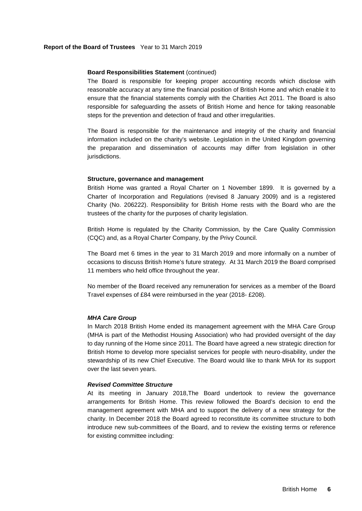## **Board Responsibilities Statement** (continued)

The Board is responsible for keeping proper accounting records which disclose with reasonable accuracy at any time the financial position of British Home and which enable it to ensure that the financial statements comply with the Charities Act 2011. The Board is also responsible for safeguarding the assets of British Home and hence for taking reasonable steps for the prevention and detection of fraud and other irregularities.

The Board is responsible for the maintenance and integrity of the charity and financial information included on the charity's website. Legislation in the United Kingdom governing the preparation and dissemination of accounts may differ from legislation in other jurisdictions.

#### **Structure, governance and management**

British Home was granted a Royal Charter on 1 November 1899. It is governed by a Charter of Incorporation and Regulations (revised 8 January 2009) and is a registered Charity (No. 206222). Responsibility for British Home rests with the Board who are the trustees of the charity for the purposes of charity legislation.

British Home is regulated by the Charity Commission, by the Care Quality Commission (CQC) and, as a Royal Charter Company, by the Privy Council.

The Board met 6 times in the year to 31 March 2019 and more informally on a number of occasions to discuss British Home's future strategy. At 31 March 2019 the Board comprised 11 members who held office throughout the year.

No member of the Board received any remuneration for services as a member of the Board Travel expenses of £84 were reimbursed in the year (2018- £208).

## *MHA Care Group*

In March 2018 British Home ended its management agreement with the MHA Care Group (MHA is part of the Methodist Housing Association) who had provided oversight of the day to day running of the Home since 2011. The Board have agreed a new strategic direction for British Home to develop more specialist services for people with neuro-disability, under the stewardship of its new Chief Executive. The Board would like to thank MHA for its support over the last seven years.

#### *Revised Committee Structure*

At its meeting in January 2018,The Board undertook to review the governance arrangements for British Home. This review followed the Board's decision to end the management agreement with MHA and to support the delivery of a new strategy for the charity. In December 2018 the Board agreed to reconstitute its committee structure to both introduce new sub-committees of the Board, and to review the existing terms or reference for existing committee including: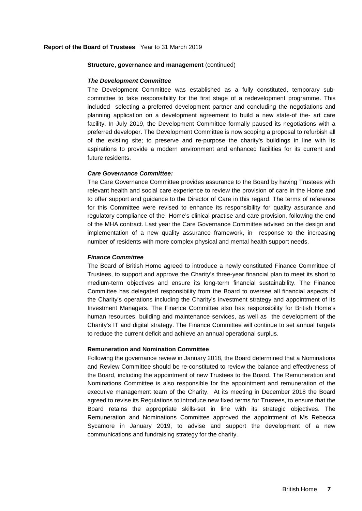#### **Structure, governance and management** (continued)

#### *The Development Committee*

The Development Committee was established as a fully constituted, temporary subcommittee to take responsibility for the first stage of a redevelopment programme. This included selecting a preferred development partner and concluding the negotiations and planning application on a development agreement to build a new state-of the- art care facility. In July 2019, the Development Committee formally paused its negotiations with a preferred developer. The Development Committee is now scoping a proposal to refurbish all of the existing site; to preserve and re-purpose the charity's buildings in line with its aspirations to provide a modern environment and enhanced facilities for its current and future residents.

#### *Care Governance Committee:*

The Care Governance Committee provides assurance to the Board by having Trustees with relevant health and social care experience to review the provision of care in the Home and to offer support and guidance to the Director of Care in this regard. The terms of reference for this Committee were revised to enhance its responsibility for quality assurance and regulatory compliance of the Home's clinical practise and care provision, following the end of the MHA contract. Last year the Care Governance Committee advised on the design and implementation of a new quality assurance framework, in response to the increasing number of residents with more complex physical and mental health support needs.

#### *Finance Committee*

The Board of British Home agreed to introduce a newly constituted Finance Committee of Trustees, to support and approve the Charity's three-year financial plan to meet its short to medium-term objectives and ensure its long-term financial sustainability. The Finance Committee has delegated responsibility from the Board to oversee all financial aspects of the Charity's operations including the Charity's investment strategy and appointment of its Investment Managers. The Finance Committee also has responsibility for British Home's human resources, building and maintenance services, as well as the development of the Charity's IT and digital strategy. The Finance Committee will continue to set annual targets to reduce the current deficit and achieve an annual operational surplus.

#### **Remuneration and Nomination Committee**

Following the governance review in January 2018, the Board determined that a Nominations and Review Committee should be re-constituted to review the balance and effectiveness of the Board, including the appointment of new Trustees to the Board. The Remuneration and Nominations Committee is also responsible for the appointment and remuneration of the executive management team of the Charity. At its meeting in December 2018 the Board agreed to revise its Regulations to introduce new fixed terms for Trustees, to ensure that the Board retains the appropriate skills-set in line with its strategic objectives. The Remuneration and Nominations Committee approved the appointment of Ms Rebecca Sycamore in January 2019, to advise and support the development of a new communications and fundraising strategy for the charity.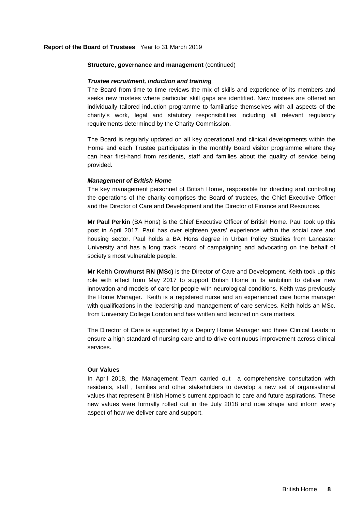#### **Structure, governance and management** (continued)

#### *Trustee recruitment, induction and training*

The Board from time to time reviews the mix of skills and experience of its members and seeks new trustees where particular skill gaps are identified. New trustees are offered an individually tailored induction programme to familiarise themselves with all aspects of the charity's work, legal and statutory responsibilities including all relevant regulatory requirements determined by the Charity Commission.

The Board is regularly updated on all key operational and clinical developments within the Home and each Trustee participates in the monthly Board visitor programme where they can hear first-hand from residents, staff and families about the quality of service being provided.

#### *Management of British Home*

The key management personnel of British Home, responsible for directing and controlling the operations of the charity comprises the Board of trustees, the Chief Executive Officer and the Director of Care and Development and the Director of Finance and Resources.

**Mr Paul Perkin** (BA Hons) is the Chief Executive Officer of British Home. Paul took up this post in April 2017. Paul has over eighteen years' experience within the social care and housing sector. Paul holds a BA Hons degree in Urban Policy Studies from Lancaster University and has a long track record of campaigning and advocating on the behalf of society's most vulnerable people.

**Mr Keith Crowhurst RN (MSc)** is the Director of Care and Development. Keith took up this role with effect from May 2017 to support British Home in its ambition to deliver new innovation and models of care for people with neurological conditions. Keith was previously the Home Manager. Keith is a registered nurse and an experienced care home manager with qualifications in the leadership and management of care services. Keith holds an MSc. from University College London and has written and lectured on care matters.

The Director of Care is supported by a Deputy Home Manager and three Clinical Leads to ensure a high standard of nursing care and to drive continuous improvement across clinical services.

## **Our Values**

In April 2018, the Management Team carried out a comprehensive consultation with residents, staff , families and other stakeholders to develop a new set of organisational values that represent British Home's current approach to care and future aspirations. These new values were formally rolled out in the July 2018 and now shape and inform every aspect of how we deliver care and support.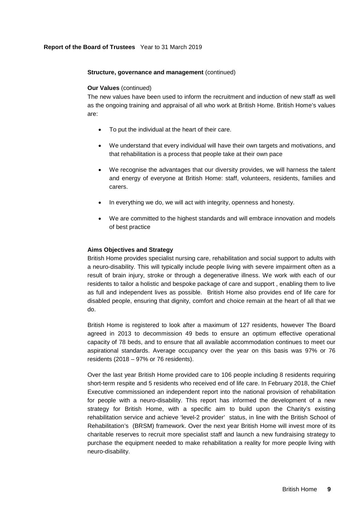## **Structure, governance and management** (continued)

#### **Our Values** (continued)

The new values have been used to inform the recruitment and induction of new staff as well as the ongoing training and appraisal of all who work at British Home. British Home's values are:

- To put the individual at the heart of their care.
- We understand that every individual will have their own targets and motivations, and that rehabilitation is a process that people take at their own pace
- We recognise the advantages that our diversity provides, we will harness the talent and energy of everyone at British Home: staff, volunteers, residents, families and carers.
- In everything we do, we will act with integrity, openness and honesty.
- We are committed to the highest standards and will embrace innovation and models of best practice

#### **Aims Objectives and Strategy**

British Home provides specialist nursing care, rehabilitation and social support to adults with a neuro-disability. This will typically include people living with severe impairment often as a result of brain injury, stroke or through a degenerative illness. We work with each of our residents to tailor a holistic and bespoke package of care and support , enabling them to live as full and independent lives as possible. British Home also provides end of life care for disabled people, ensuring that dignity, comfort and choice remain at the heart of all that we do.

British Home is registered to look after a maximum of 127 residents, however The Board agreed in 2013 to decommission 49 beds to ensure an optimum effective operational capacity of 78 beds, and to ensure that all available accommodation continues to meet our aspirational standards. Average occupancy over the year on this basis was 97% or 76 residents (2018 – 97% or 76 residents).

Over the last year British Home provided care to 106 people including 8 residents requiring short-term respite and 5 residents who received end of life care. In February 2018, the Chief Executive commissioned an independent report into the national provision of rehabilitation for people with a neuro-disability. This report has informed the development of a new strategy for British Home, with a specific aim to build upon the Charity's existing rehabilitation service and achieve 'level-2 provider' status, in line with the British School of Rehabilitation's (BRSM) framework. Over the next year British Home will invest more of its charitable reserves to recruit more specialist staff and launch a new fundraising strategy to purchase the equipment needed to make rehabilitation a reality for more people living with neuro-disability.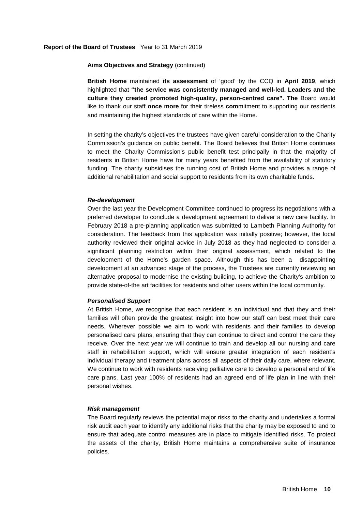#### **Aims Objectives and Strategy** (continued)

**British Home** maintained **its assessment** of 'good' by the CCQ in **April 2019**, which highlighted that **"the service was consistently managed and well-led. Leaders and the culture they created promoted high-quality, person-centred care". The** Board would like to thank our staff **once more** for their tireless **com**mitment to supporting our residents and maintaining the highest standards of care within the Home.

In setting the charity's objectives the trustees have given careful consideration to the Charity Commission's guidance on public benefit. The Board believes that British Home continues to meet the Charity Commission's public benefit test principally in that the majority of residents in British Home have for many years benefited from the availability of statutory funding. The charity subsidises the running cost of British Home and provides a range of additional rehabilitation and social support to residents from its own charitable funds.

#### *Re-development*

Over the last year the Development Committee continued to progress its negotiations with a preferred developer to conclude a development agreement to deliver a new care facility. In February 2018 a pre-planning application was submitted to Lambeth Planning Authority for consideration. The feedback from this application was initially positive; however, the local authority reviewed their original advice in July 2018 as they had neglected to consider a significant planning restriction within their original assessment, which related to the development of the Home's garden space. Although this has been a disappointing development at an advanced stage of the process, the Trustees are currently reviewing an alternative proposal to modernise the existing building, to achieve the Charity's ambition to provide state-of-the art facilities for residents and other users within the local community.

#### *Personalised Support*

At British Home, we recognise that each resident is an individual and that they and their families will often provide the greatest insight into how our staff can best meet their care needs. Wherever possible we aim to work with residents and their families to develop personalised care plans, ensuring that they can continue to direct and control the care they receive. Over the next year we will continue to train and develop all our nursing and care staff in rehabilitation support, which will ensure greater integration of each resident's individual therapy and treatment plans across all aspects of their daily care, where relevant. We continue to work with residents receiving palliative care to develop a personal end of life care plans. Last year 100% of residents had an agreed end of life plan in line with their personal wishes.

## *Risk management*

The Board regularly reviews the potential major risks to the charity and undertakes a formal risk audit each year to identify any additional risks that the charity may be exposed to and to ensure that adequate control measures are in place to mitigate identified risks. To protect the assets of the charity, British Home maintains a comprehensive suite of insurance policies.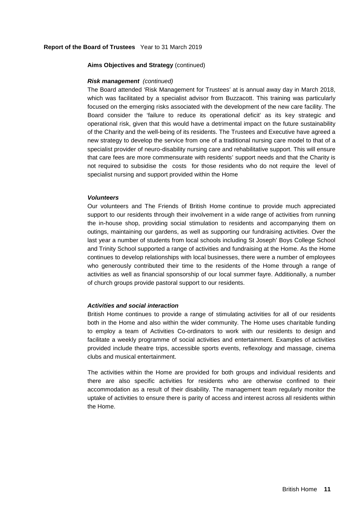## **Aims Objectives and Strategy** (continued)

#### *Risk management (continued)*

The Board attended 'Risk Management for Trustees' at is annual away day in March 2018, which was facilitated by a specialist advisor from Buzzacott. This training was particularly focused on the emerging risks associated with the development of the new care facility. The Board consider the 'failure to reduce its operational deficit' as its key strategic and operational risk, given that this would have a detrimental impact on the future sustainability of the Charity and the well-being of its residents. The Trustees and Executive have agreed a new strategy to develop the service from one of a traditional nursing care model to that of a specialist provider of neuro-disability nursing care and rehabilitative support. This will ensure that care fees are more commensurate with residents' support needs and that the Charity is not required to subsidise the costs for those residents who do not require the level of specialist nursing and support provided within the Home

#### *Volunteers*

Our volunteers and The Friends of British Home continue to provide much appreciated support to our residents through their involvement in a wide range of activities from running the in-house shop, providing social stimulation to residents and accompanying them on outings, maintaining our gardens, as well as supporting our fundraising activities. Over the last year a number of students from local schools including St Joseph' Boys College School and Trinity School supported a range of activities and fundraising at the Home. As the Home continues to develop relationships with local businesses, there were a number of employees who generously contributed their time to the residents of the Home through a range of activities as well as financial sponsorship of our local summer fayre. Additionally, a number of church groups provide pastoral support to our residents.

## *Activities and social interaction*

British Home continues to provide a range of stimulating activities for all of our residents both in the Home and also within the wider community. The Home uses charitable funding to employ a team of Activities Co-ordinators to work with our residents to design and facilitate a weekly programme of social activities and entertainment. Examples of activities provided include theatre trips, accessible sports events, reflexology and massage, cinema clubs and musical entertainment.

The activities within the Home are provided for both groups and individual residents and there are also specific activities for residents who are otherwise confined to their accommodation as a result of their disability. The management team regularly monitor the uptake of activities to ensure there is parity of access and interest across all residents within the Home.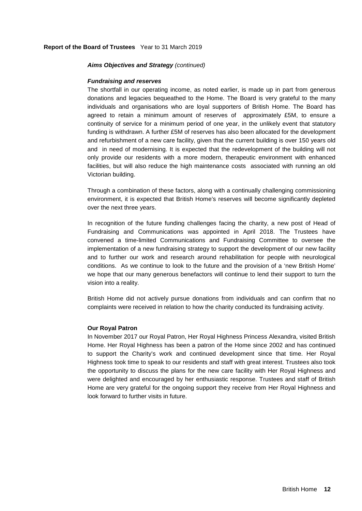## *Aims Objectives and Strategy (continued)*

## *Fundraising and reserves*

The shortfall in our operating income, as noted earlier, is made up in part from generous donations and legacies bequeathed to the Home. The Board is very grateful to the many individuals and organisations who are loyal supporters of British Home. The Board has agreed to retain a minimum amount of reserves of approximately £5M, to ensure a continuity of service for a minimum period of one year, in the unlikely event that statutory funding is withdrawn. A further £5M of reserves has also been allocated for the development and refurbishment of a new care facility, given that the current building is over 150 years old and in need of modernising. It is expected that the redevelopment of the building will not only provide our residents with a more modern, therapeutic environment with enhanced facilities, but will also reduce the high maintenance costs associated with running an old Victorian building.

Through a combination of these factors, along with a continually challenging commissioning environment, it is expected that British Home's reserves will become significantly depleted over the next three years.

In recognition of the future funding challenges facing the charity, a new post of Head of Fundraising and Communications was appointed in April 2018. The Trustees have convened a time-limited Communications and Fundraising Committee to oversee the implementation of a new fundraising strategy to support the development of our new facility and to further our work and research around rehabilitation for people with neurological conditions. As we continue to look to the future and the provision of a 'new British Home' we hope that our many generous benefactors will continue to lend their support to turn the vision into a reality.

British Home did not actively pursue donations from individuals and can confirm that no complaints were received in relation to how the charity conducted its fundraising activity.

## **Our Royal Patron**

In November 2017 our Royal Patron, Her Royal Highness Princess Alexandra, visited British Home. Her Royal Highness has been a patron of the Home since 2002 and has continued to support the Charity's work and continued development since that time. Her Royal Highness took time to speak to our residents and staff with great interest. Trustees also took the opportunity to discuss the plans for the new care facility with Her Royal Highness and were delighted and encouraged by her enthusiastic response. Trustees and staff of British Home are very grateful for the ongoing support they receive from Her Royal Highness and look forward to further visits in future.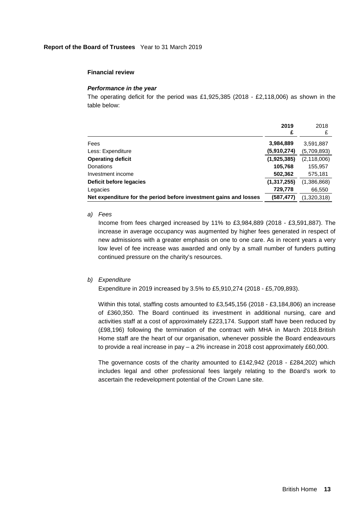## **Financial review**

#### *Performance in the year*

The operating deficit for the period was £1,925,385 (2018 - £2,118,006) as shown in the table below:

|                                                                   | 2019        | 2018          |
|-------------------------------------------------------------------|-------------|---------------|
|                                                                   | £           | £             |
| Fees                                                              | 3,984,889   | 3,591,887     |
| Less: Expenditure                                                 | (5,910,274) | (5,709,893)   |
| <b>Operating deficit</b>                                          | (1,925,385) | (2, 118, 006) |
| <b>Donations</b>                                                  | 105,768     | 155,957       |
| Investment income                                                 | 502,362     | 575,181       |
| Deficit before legacies                                           | (1,317,255) | (1,386,868)   |
| Legacies                                                          | 729.778     | 66,550        |
| Net expenditure for the period before investment gains and losses | (587,477)   | (1,320,318)   |

*a) Fees*

Income from fees charged increased by 11% to £3,984,889 (2018 - £3,591,887). The increase in average occupancy was augmented by higher fees generated in respect of new admissions with a greater emphasis on one to one care. As in recent years a very low level of fee increase was awarded and only by a small number of funders putting continued pressure on the charity's resources.

## *b) Expenditure*

Expenditure in 2019 increased by 3.5% to £5,910,274 (2018 - £5,709,893).

Within this total, staffing costs amounted to £3,545,156 (2018 - £3,184,806) an increase of £360,350. The Board continued its investment in additional nursing, care and activities staff at a cost of approximately £223,174. Support staff have been reduced by (£98,196) following the termination of the contract with MHA in March 2018.British Home staff are the heart of our organisation, whenever possible the Board endeavours to provide a real increase in pay – a 2% increase in 2018 cost approximately £60,000.

The governance costs of the charity amounted to £142,942 (2018 - £284,202) which includes legal and other professional fees largely relating to the Board's work to ascertain the redevelopment potential of the Crown Lane site.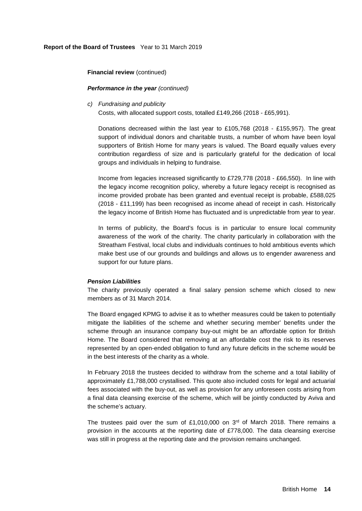**Financial review** (continued)

## *Performance in the year (continued)*

*c) Fundraising and publicity*

Costs, with allocated support costs, totalled £149,266 (2018 - £65,991).

Donations decreased within the last year to £105,768 (2018 - £155,957). The great support of individual donors and charitable trusts, a number of whom have been loyal supporters of British Home for many years is valued. The Board equally values every contribution regardless of size and is particularly grateful for the dedication of local groups and individuals in helping to fundraise.

Income from legacies increased significantly to £729,778 (2018 - £66,550). In line with the legacy income recognition policy, whereby a future legacy receipt is recognised as income provided probate has been granted and eventual receipt is probable, £588,025 (2018 - £11,199) has been recognised as income ahead of receipt in cash. Historically the legacy income of British Home has fluctuated and is unpredictable from year to year.

In terms of publicity, the Board's focus is in particular to ensure local community awareness of the work of the charity. The charity particularly in collaboration with the Streatham Festival, local clubs and individuals continues to hold ambitious events which make best use of our grounds and buildings and allows us to engender awareness and support for our future plans.

## *Pension Liabilities*

The charity previously operated a final salary pension scheme which closed to new members as of 31 March 2014.

The Board engaged KPMG to advise it as to whether measures could be taken to potentially mitigate the liabilities of the scheme and whether securing member' benefits under the scheme through an insurance company buy-out might be an affordable option for British Home. The Board considered that removing at an affordable cost the risk to its reserves represented by an open-ended obligation to fund any future deficits in the scheme would be in the best interests of the charity as a whole.

In February 2018 the trustees decided to withdraw from the scheme and a total liability of approximately £1,788,000 crystallised. This quote also included costs for legal and actuarial fees associated with the buy-out, as well as provision for any unforeseen costs arising from a final data cleansing exercise of the scheme, which will be jointly conducted by Aviva and the scheme's actuary.

The trustees paid over the sum of £1,010,000 on  $3<sup>rd</sup>$  of March 2018. There remains a provision in the accounts at the reporting date of £778,000. The data cleansing exercise was still in progress at the reporting date and the provision remains unchanged.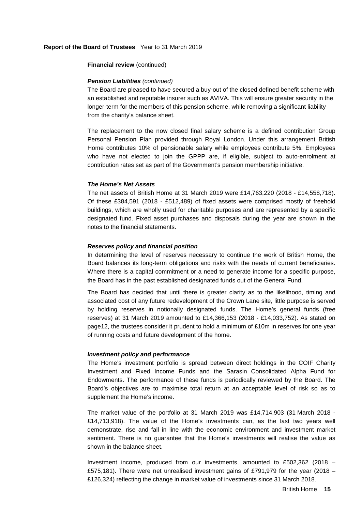#### **Financial review** (continued)

#### *Pension Liabilities (continued)*

The Board are pleased to have secured a buy-out of the closed defined benefit scheme with an established and reputable insurer such as AVIVA. This will ensure greater security in the longer-term for the members of this pension scheme, while removing a significant liability from the charity's balance sheet.

The replacement to the now closed final salary scheme is a defined contribution Group Personal Pension Plan provided through Royal London. Under this arrangement British Home contributes 10% of pensionable salary while employees contribute 5%. Employees who have not elected to join the GPPP are, if eligible, subject to auto-enrolment at contribution rates set as part of the Government's pension membership initiative.

## *The Home's Net Assets*

The net assets of British Home at 31 March 2019 were £14,763,220 (2018 - £14,558,718). Of these £384,591 (2018 - £512,489) of fixed assets were comprised mostly of freehold buildings, which are wholly used for charitable purposes and are represented by a specific designated fund. Fixed asset purchases and disposals during the year are shown in the notes to the financial statements.

## *Reserves policy and financial position*

In determining the level of reserves necessary to continue the work of British Home, the Board balances its long-term obligations and risks with the needs of current beneficiaries. Where there is a capital commitment or a need to generate income for a specific purpose, the Board has in the past established designated funds out of the General Fund.

The Board has decided that until there is greater clarity as to the likelihood, timing and associated cost of any future redevelopment of the Crown Lane site, little purpose is served by holding reserves in notionally designated funds. The Home's general funds (free reserves) at 31 March 2019 amounted to £14,366,153 (2018 - £14,033,752). As stated on page12, the trustees consider it prudent to hold a minimum of £10m in reserves for one year of running costs and future development of the home.

#### *Investment policy and performance*

The Home's investment portfolio is spread between direct holdings in the COIF Charity Investment and Fixed Income Funds and the Sarasin Consolidated Alpha Fund for Endowments. The performance of these funds is periodically reviewed by the Board. The Board's objectives are to maximise total return at an acceptable level of risk so as to supplement the Home's income.

The market value of the portfolio at 31 March 2019 was £14,714,903 (31 March 2018 - £14,713,918). The value of the Home's investments can, as the last two years well demonstrate, rise and fall in line with the economic environment and investment market sentiment. There is no guarantee that the Home's investments will realise the value as shown in the balance sheet.

Investment income, produced from our investments, amounted to £502,362 (2018 – £575,181). There were net unrealised investment gains of £791,979 for the year (2018 – £126,324) reflecting the change in market value of investments since 31 March 2018.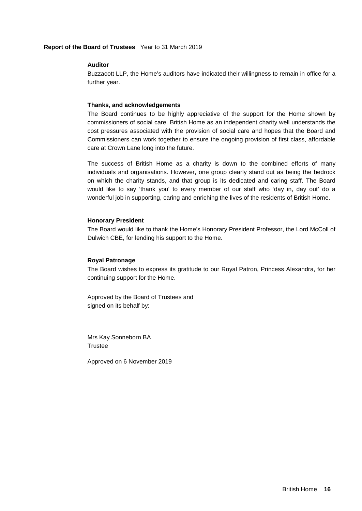## **Auditor**

Buzzacott LLP, the Home's auditors have indicated their willingness to remain in office for a further year.

## **Thanks, and acknowledgements**

The Board continues to be highly appreciative of the support for the Home shown by commissioners of social care. British Home as an independent charity well understands the cost pressures associated with the provision of social care and hopes that the Board and Commissioners can work together to ensure the ongoing provision of first class, affordable care at Crown Lane long into the future.

The success of British Home as a charity is down to the combined efforts of many individuals and organisations. However, one group clearly stand out as being the bedrock on which the charity stands, and that group is its dedicated and caring staff. The Board would like to say 'thank you' to every member of our staff who 'day in, day out' do a wonderful job in supporting, caring and enriching the lives of the residents of British Home.

## **Honorary President**

The Board would like to thank the Home's Honorary President Professor, the Lord McColl of Dulwich CBE, for lending his support to the Home.

## **Royal Patronage**

The Board wishes to express its gratitude to our Royal Patron, Princess Alexandra, for her continuing support for the Home.

Approved by the Board of Trustees and signed on its behalf by:

Mrs Kay Sonneborn BA **Trustee** 

Approved on 6 November 2019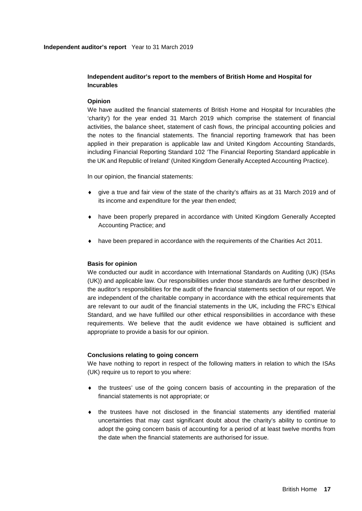# **Independent auditor's report to the members of British Home and Hospital for Incurables**

## **Opinion**

<span id="page-18-0"></span>We have audited the financial statements of British Home and Hospital for Incurables (the 'charity') for the year ended 31 March 2019 which comprise the statement of financial activities, the balance sheet, statement of cash flows, the principal accounting policies and the notes to the financial statements. The financial reporting framework that has been applied in their preparation is applicable law and United Kingdom Accounting Standards, including Financial Reporting Standard 102 'The Financial Reporting Standard applicable in the UK and Republic of Ireland' (United Kingdom Generally Accepted Accounting Practice).

In our opinion, the financial statements:

- ♦ give a true and fair view of the state of the charity's affairs as at 31 March 2019 and of its income and expenditure for the year then ended;
- ♦ have been properly prepared in accordance with United Kingdom Generally Accepted Accounting Practice; and
- ♦ have been prepared in accordance with the requirements of the Charities Act 2011.

## **Basis for opinion**

We conducted our audit in accordance with International Standards on Auditing (UK) (ISAs (UK)) and applicable law. Our responsibilities under those standards are further described in the auditor's responsibilities for the audit of the financial statements section of our report. We are independent of the charitable company in accordance with the ethical requirements that are relevant to our audit of the financial statements in the UK, including the FRC's Ethical Standard, and we have fulfilled our other ethical responsibilities in accordance with these requirements. We believe that the audit evidence we have obtained is sufficient and appropriate to provide a basis for our opinion.

#### **Conclusions relating to going concern**

We have nothing to report in respect of the following matters in relation to which the ISAs (UK) require us to report to you where:

- ♦ the trustees' use of the going concern basis of accounting in the preparation of the financial statements is not appropriate; or
- $\bullet$  the trustees have not disclosed in the financial statements any identified material uncertainties that may cast significant doubt about the charity's ability to continue to adopt the going concern basis of accounting for a period of at least twelve months from the date when the financial statements are authorised for issue.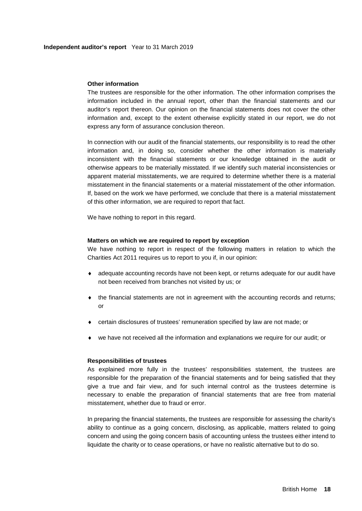#### **Other information**

The trustees are responsible for the other information. The other information comprises the information included in the annual report, other than the financial statements and our auditor's report thereon. Our opinion on the financial statements does not cover the other information and, except to the extent otherwise explicitly stated in our report, we do not express any form of assurance conclusion thereon.

In connection with our audit of the financial statements, our responsibility is to read the other information and, in doing so, consider whether the other information is materially inconsistent with the financial statements or our knowledge obtained in the audit or otherwise appears to be materially misstated. If we identify such material inconsistencies or apparent material misstatements, we are required to determine whether there is a material misstatement in the financial statements or a material misstatement of the other information. If, based on the work we have performed, we conclude that there is a material misstatement of this other information, we are required to report that fact.

We have nothing to report in this regard.

#### **Matters on which we are required to report by exception**

We have nothing to report in respect of the following matters in relation to which the Charities Act 2011 requires us to report to you if, in our opinion:

- ♦ adequate accounting records have not been kept, or returns adequate for our audit have not been received from branches not visited by us; or
- $\bullet$  the financial statements are not in agreement with the accounting records and returns; or
- ♦ certain disclosures of trustees' remuneration specified by law are not made; or
- ♦ we have not received all the information and explanations we require for our audit; or

#### **Responsibilities of trustees**

As explained more fully in the trustees' responsibilities statement, the trustees are responsible for the preparation of the financial statements and for being satisfied that they give a true and fair view, and for such internal control as the trustees determine is necessary to enable the preparation of financial statements that are free from material misstatement, whether due to fraud or error.

In preparing the financial statements, the trustees are responsible for assessing the charity's ability to continue as a going concern, disclosing, as applicable, matters related to going concern and using the going concern basis of accounting unless the trustees either intend to liquidate the charity or to cease operations, or have no realistic alternative but to do so.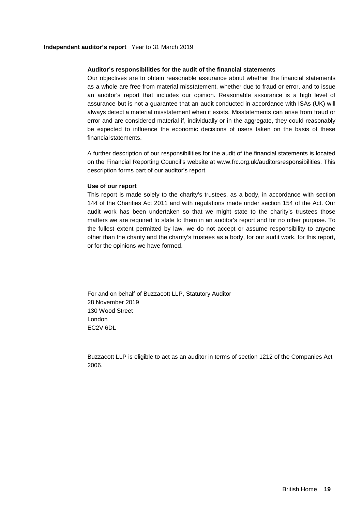#### **Independent auditor's report** Year to 31 March 2019

#### **Auditor's responsibilities for the audit of the financial statements**

Our objectives are to obtain reasonable assurance about whether the financial statements as a whole are free from material misstatement, whether due to fraud or error, and to issue an auditor's report that includes our opinion. Reasonable assurance is a high level of assurance but is not a guarantee that an audit conducted in accordance with ISAs (UK) will always detect a material misstatement when it exists. Misstatements can arise from fraud or error and are considered material if, individually or in the aggregate, they could reasonably be expected to influence the economic decisions of users taken on the basis of these financialstatements.

A further description of our responsibilities for the audit of the financial statements is located on the Financial Reporting Council's website at www.frc.org.uk/auditorsresponsibilities. This description forms part of our auditor's report.

## **Use of our report**

This report is made solely to the charity's trustees, as a body, in accordance with section 144 of the Charities Act 2011 and with regulations made under section 154 of the Act. Our audit work has been undertaken so that we might state to the charity's trustees those matters we are required to state to them in an auditor's report and for no other purpose. To the fullest extent permitted by law, we do not accept or assume responsibility to anyone other than the charity and the charity's trustees as a body, for our audit work, for this report, or for the opinions we have formed.

For and on behalf of Buzzacott LLP, Statutory Auditor 28 November 2019 130 Wood Street London EC2V 6DL

Buzzacott LLP is eligible to act as an auditor in terms of section 1212 of the Companies Act 2006.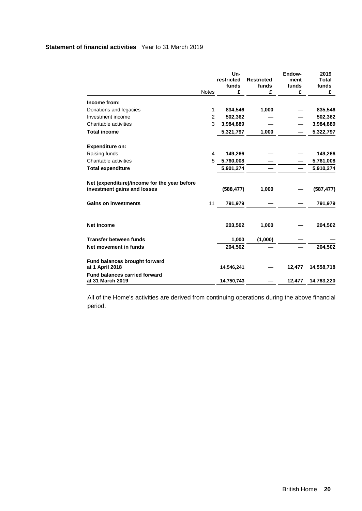# **Statement of financial activities** Year to 31 March 2019

<span id="page-21-0"></span>

|                                                          |                | Un-<br>restricted | <b>Restricted</b> | Endow-<br>ment | 2019<br><b>Total</b> |
|----------------------------------------------------------|----------------|-------------------|-------------------|----------------|----------------------|
|                                                          |                | funds             | funds             | funds          | funds                |
|                                                          | <b>Notes</b>   | £                 | £                 | £              | £                    |
| Income from:                                             |                |                   |                   |                |                      |
| Donations and legacies                                   | 1              | 834,546           | 1,000             |                | 835,546              |
| Investment income                                        | $\overline{2}$ | 502,362           |                   |                | 502,362              |
| Charitable activities                                    | 3              | 3,984,889         |                   |                | 3,984,889            |
| <b>Total income</b>                                      |                | 5,321,797         | 1,000             |                | 5,322,797            |
| <b>Expenditure on:</b>                                   |                |                   |                   |                |                      |
| Raising funds                                            | 4              | 149,266           |                   |                | 149,266              |
| Charitable activities                                    | 5              | 5,760,008         |                   |                | 5,761,008            |
| <b>Total expenditure</b>                                 |                | 5,901,274         |                   |                | 5,910,274            |
| Net (expenditure)/income for the year before             |                |                   |                   |                |                      |
| investment gains and losses                              |                | (588, 477)        | 1,000             |                | (587, 477)           |
| <b>Gains on investments</b>                              | 11             | 791,979           |                   |                | 791,979              |
|                                                          |                |                   |                   |                |                      |
| Net income                                               |                | 203,502           | 1,000             |                | 204,502              |
| <b>Transfer between funds</b>                            |                | 1,000             | (1,000)           |                |                      |
| Net movement in funds                                    |                | 204,502           |                   |                | 204,502              |
| Fund balances brought forward                            |                |                   |                   |                |                      |
| at 1 April 2018                                          |                | 14,546,241        |                   | 12,477         | 14,558,718           |
| <b>Fund balances carried forward</b><br>at 31 March 2019 |                | 14,750,743        |                   | 12,477         | 14,763,220           |
|                                                          |                |                   |                   |                |                      |

All of the Home's activities are derived from continuing operations during the above financial period.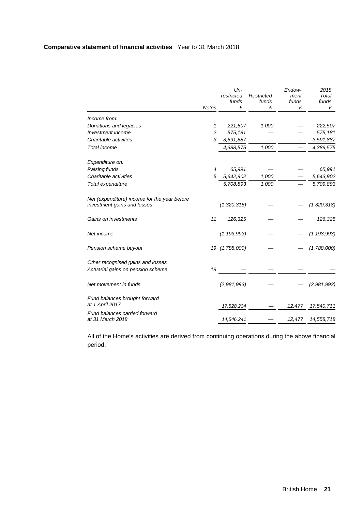# **Comparative statement of financial activities** Year to 31 March 2018

<span id="page-22-0"></span>

|                                                                             |              | $Un-$<br>restricted<br>funds | Restricted<br>funds | Endow-<br>ment<br>funds | 2018<br>Total<br>funds |
|-----------------------------------------------------------------------------|--------------|------------------------------|---------------------|-------------------------|------------------------|
|                                                                             | <b>Notes</b> | £                            | £                   | £                       | £                      |
| Income from:                                                                |              |                              |                     |                         |                        |
| Donations and legacies                                                      | 1            | 221,507                      | 1,000               |                         | 222,507                |
| Investment income                                                           | 2            | 575,181                      |                     |                         | 575, 181               |
| Charitable activities                                                       | 3            | 3,591,887                    |                     |                         | 3,591,887              |
| Total income                                                                |              | 4,388,575                    | 1,000               |                         | 4,389,575              |
| Expenditure on:                                                             |              |                              |                     |                         |                        |
| Raising funds                                                               | 4            | 65,991                       |                     |                         | 65,991                 |
| Charitable activities                                                       | 5            | 5,642,902                    | 1,000               |                         | 5,643,902              |
| Total expenditure                                                           |              | 5,708,893                    | 1,000               |                         | 5,709,893              |
| Net (expenditure) income for the year before<br>investment gains and losses |              | (1,320,318)                  |                     |                         | (1,320,318)            |
| Gains on investments                                                        | 11           | 126,325                      |                     |                         | 126,325                |
| Net income                                                                  |              | (1, 193, 993)                |                     |                         | (1, 193, 993)          |
| Pension scheme buyout                                                       |              | 19 (1,788,000)               |                     |                         | (1,788,000)            |
| Other recognised gains and losses                                           |              |                              |                     |                         |                        |
| Actuarial gains on pension scheme                                           | 19           |                              |                     |                         |                        |
| Net movement in funds                                                       |              | (2,981,993)                  |                     |                         | (2,981,993)            |
| Fund balances brought forward<br>at 1 April 2017                            |              | 17,528,234                   |                     | 12,477                  | 17,540,711             |
| Fund balances carried forward<br>at 31 March 2018                           |              | 14,546,241                   |                     | 12,477                  | 14,558,718             |

All of the Home's activities are derived from continuing operations during the above financial period.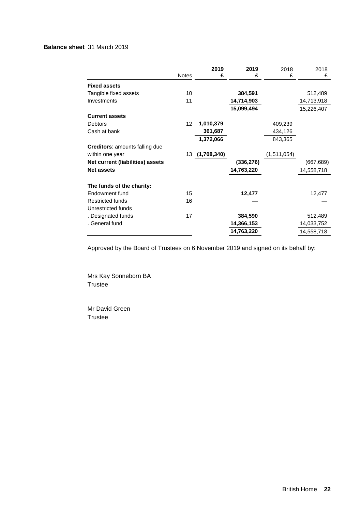# **Balance sheet** 31 March 2019

<span id="page-23-0"></span>

|                                       | <b>Notes</b> | 2019<br>£   | 2019<br>£  | 2018<br>£   | 2018<br>£  |
|---------------------------------------|--------------|-------------|------------|-------------|------------|
| <b>Fixed assets</b>                   |              |             |            |             |            |
| Tangible fixed assets                 | 10           |             | 384,591    |             | 512,489    |
| Investments                           | 11           |             | 14,714,903 |             | 14,713,918 |
|                                       |              |             | 15,099,494 |             | 15,226,407 |
| <b>Current assets</b>                 |              |             |            |             |            |
| <b>Debtors</b>                        | 12           | 1,010,379   |            | 409,239     |            |
| Cash at bank                          |              | 361,687     |            | 434,126     |            |
|                                       |              | 1,372,066   |            | 843,365     |            |
| <b>Creditors:</b> amounts falling due |              |             |            |             |            |
| within one year                       | 13           | (1,708,340) |            | (1,511,054) |            |
| Net current (liabilities) assets      |              |             | (336, 276) |             | (667, 689) |
| <b>Net assets</b>                     |              |             | 14,763,220 |             | 14,558,718 |
| The funds of the charity:             |              |             |            |             |            |
| Endowment fund                        | 15           |             | 12,477     |             | 12,477     |
| <b>Restricted funds</b>               | 16           |             |            |             |            |
| Unrestricted funds                    |              |             |            |             |            |
| . Designated funds                    | 17           |             | 384,590    |             | 512,489    |
| . General fund                        |              |             | 14,366,153 |             | 14,033,752 |
|                                       |              |             | 14,763,220 |             | 14,558,718 |

Approved by the Board of Trustees on 6 November 2019 and signed on its behalf by:

Mrs Kay Sonneborn BA Trustee

Mr David Green Trustee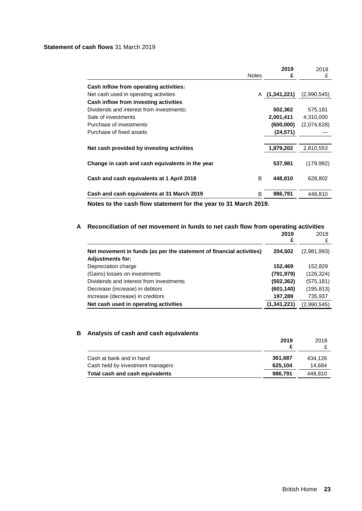# **Statement of cash flows** 31 March 2019

<span id="page-24-0"></span>

|                                                 | <b>Notes</b> | 2019<br>£     | 2018<br>£   |
|-------------------------------------------------|--------------|---------------|-------------|
| Cash inflow from operating activities:          |              |               |             |
| Net cash used in operating activities           |              | A (1,341,221) | (2,990,545) |
| Cash inflow from investing activities           |              |               |             |
| Dividends and interest from investments:        |              | 502,362       | 575,181     |
| Sale of investments                             |              | 2,001,411     | 4,310,000   |
| Purchase of investments                         |              | (600, 000)    | (2,074,628) |
| Purchase of fixed assets                        |              | (24, 571)     |             |
|                                                 |              |               |             |
| Net cash provided by investing activities       |              | 1,879,202     | 2,810,553   |
|                                                 |              |               |             |
| Change in cash and cash equivalents in the year |              | 537,981       | (179, 992)  |
|                                                 |              |               |             |
| Cash and cash equivalents at 1 April 2018       | B            | 448,810       | 628,802     |
|                                                 |              |               |             |
| Cash and cash equivalents at 31 March 2019      | В            | 986,791       | 448,810     |
| hlatan ta tha nanh flaw atatamant far tha wan   |              |               |             |

**Notes to the cash flow statement for the year to 31 March 2019.**

# **A Reconciliation of net movement in funds to net cash flow from operating activities**

|                                                                                                 | 2019<br>£   | 2018<br>£   |
|-------------------------------------------------------------------------------------------------|-------------|-------------|
| Net movement in funds (as per the statement of financial activities)<br><b>Adjustments for:</b> | 204.502     | (2,981,993) |
| Depreciation charge                                                                             | 152,469     | 152,829     |
| (Gains) losses on investments                                                                   | (791, 979)  | (126, 324)  |
| Dividends and interest from investments                                                         | (502, 362)  | (575, 181)  |
| Decrease (increase) in debtors                                                                  | (601, 140)  | (195, 813)  |
| Increase (decrease) in creditors                                                                | 197,289     | 735,937     |
| Net cash used in operating activities                                                           | (1,341,221) | (2,990,545) |

# **B Analysis of cash and cash equivalents**

|                                  | 2019    | 2018    |
|----------------------------------|---------|---------|
| Cash at bank and in hand         | 361.687 | 434.126 |
| Cash held by investment managers | 625.104 | 14.684  |
| Total cash and cash equivalents  | 986.791 | 448.810 |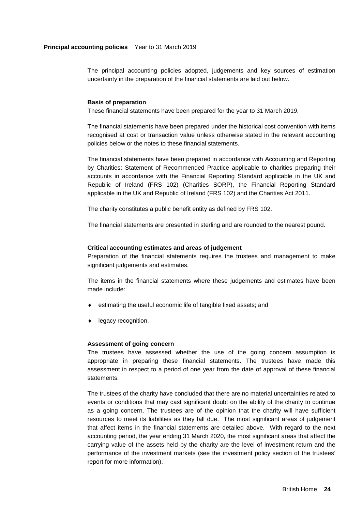## **Principal accounting policies** Year to 31 March 2019

<span id="page-25-0"></span>The principal accounting policies adopted, judgements and key sources of estimation uncertainty in the preparation of the financial statements are laid out below.

## **Basis of preparation**

These financial statements have been prepared for the year to 31 March 2019.

The financial statements have been prepared under the historical cost convention with items recognised at cost or transaction value unless otherwise stated in the relevant accounting policies below or the notes to these financial statements.

The financial statements have been prepared in accordance with Accounting and Reporting by Charities: Statement of Recommended Practice applicable to charities preparing their accounts in accordance with the Financial Reporting Standard applicable in the UK and Republic of Ireland (FRS 102) (Charities SORP), the Financial Reporting Standard applicable in the UK and Republic of Ireland (FRS 102) and the Charities Act 2011.

The charity constitutes a public benefit entity as defined by FRS 102.

The financial statements are presented in sterling and are rounded to the nearest pound.

## **Critical accounting estimates and areas of judgement**

Preparation of the financial statements requires the trustees and management to make significant judgements and estimates.

The items in the financial statements where these judgements and estimates have been made include:

- estimating the useful economic life of tangible fixed assets; and
- ♦ legacy recognition.

## **Assessment of going concern**

The trustees have assessed whether the use of the going concern assumption is appropriate in preparing these financial statements. The trustees have made this assessment in respect to a period of one year from the date of approval of these financial statements.

The trustees of the charity have concluded that there are no material uncertainties related to events or conditions that may cast significant doubt on the ability of the charity to continue as a going concern. The trustees are of the opinion that the charity will have sufficient resources to meet its liabilities as they fall due. The most significant areas of judgement that affect items in the financial statements are detailed above. With regard to the next accounting period, the year ending 31 March 2020, the most significant areas that affect the carrying value of the assets held by the charity are the level of investment return and the performance of the investment markets (see the investment policy section of the trustees' report for more information).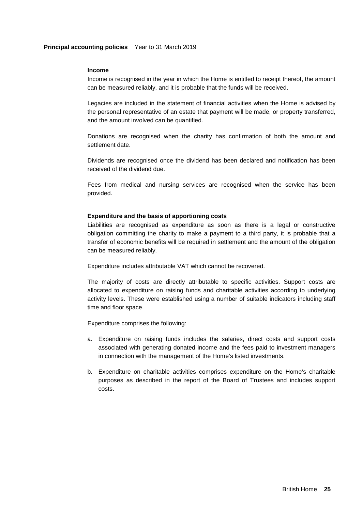#### **Income**

Income is recognised in the year in which the Home is entitled to receipt thereof, the amount can be measured reliably, and it is probable that the funds will be received.

Legacies are included in the statement of financial activities when the Home is advised by the personal representative of an estate that payment will be made, or property transferred, and the amount involved can be quantified.

Donations are recognised when the charity has confirmation of both the amount and settlement date.

Dividends are recognised once the dividend has been declared and notification has been received of the dividend due.

Fees from medical and nursing services are recognised when the service has been provided.

## **Expenditure and the basis of apportioning costs**

Liabilities are recognised as expenditure as soon as there is a legal or constructive obligation committing the charity to make a payment to a third party, it is probable that a transfer of economic benefits will be required in settlement and the amount of the obligation can be measured reliably.

Expenditure includes attributable VAT which cannot be recovered.

The majority of costs are directly attributable to specific activities. Support costs are allocated to expenditure on raising funds and charitable activities according to underlying activity levels. These were established using a number of suitable indicators including staff time and floor space.

Expenditure comprises the following:

- a. Expenditure on raising funds includes the salaries, direct costs and support costs associated with generating donated income and the fees paid to investment managers in connection with the management of the Home's listed investments.
- b. Expenditure on charitable activities comprises expenditure on the Home's charitable purposes as described in the report of the Board of Trustees and includes support costs.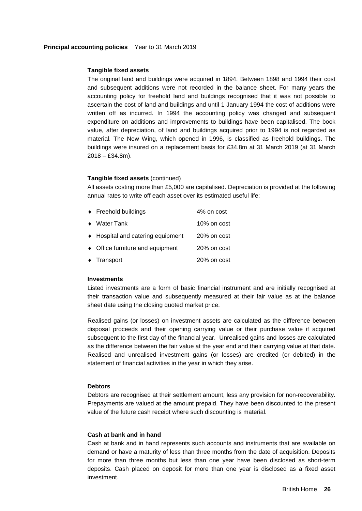## **Tangible fixed assets**

The original land and buildings were acquired in 1894. Between 1898 and 1994 their cost and subsequent additions were not recorded in the balance sheet. For many years the accounting policy for freehold land and buildings recognised that it was not possible to ascertain the cost of land and buildings and until 1 January 1994 the cost of additions were written off as incurred. In 1994 the accounting policy was changed and subsequent expenditure on additions and improvements to buildings have been capitalised. The book value, after depreciation, of land and buildings acquired prior to 1994 is not regarded as material. The New Wing, which opened in 1996, is classified as freehold buildings. The buildings were insured on a replacement basis for £34.8m at 31 March 2019 (at 31 March  $2018 - \pounds34.8m$ ).

## **Tangible fixed assets** (continued)

All assets costing more than £5,000 are capitalised. Depreciation is provided at the following annual rates to write off each asset over its estimated useful life:

| ♦ Freehold buildings              | 4% on cost  |
|-----------------------------------|-------------|
| $\bullet$ Water Tank              | 10% on cost |
| ♦ Hospital and catering equipment | 20% on cost |
| • Office furniture and equipment  | 20% on cost |
| $\triangleleft$ Transport         | 20% on cost |

## **Investments**

Listed investments are a form of basic financial instrument and are initially recognised at their transaction value and subsequently measured at their fair value as at the balance sheet date using the closing quoted market price.

Realised gains (or losses) on investment assets are calculated as the difference between disposal proceeds and their opening carrying value or their purchase value if acquired subsequent to the first day of the financial year. Unrealised gains and losses are calculated as the difference between the fair value at the year end and their carrying value at that date. Realised and unrealised investment gains (or losses) are credited (or debited) in the statement of financial activities in the year in which they arise.

## **Debtors**

Debtors are recognised at their settlement amount, less any provision for non-recoverability. Prepayments are valued at the amount prepaid. They have been discounted to the present value of the future cash receipt where such discounting is material.

## **Cash at bank and in hand**

Cash at bank and in hand represents such accounts and instruments that are available on demand or have a maturity of less than three months from the date of acquisition. Deposits for more than three months but less than one year have been disclosed as short-term deposits. Cash placed on deposit for more than one year is disclosed as a fixed asset investment.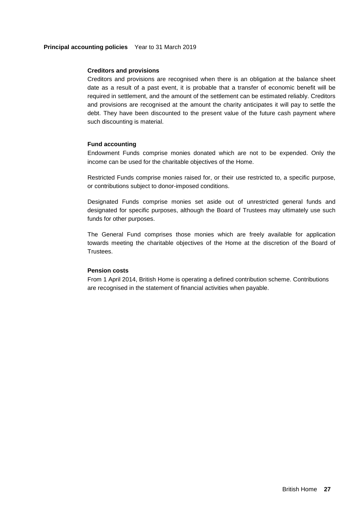## **Principal accounting policies** Year to 31 March 2019

## **Creditors and provisions**

Creditors and provisions are recognised when there is an obligation at the balance sheet date as a result of a past event, it is probable that a transfer of economic benefit will be required in settlement, and the amount of the settlement can be estimated reliably. Creditors and provisions are recognised at the amount the charity anticipates it will pay to settle the debt. They have been discounted to the present value of the future cash payment where such discounting is material.

## **Fund accounting**

Endowment Funds comprise monies donated which are not to be expended. Only the income can be used for the charitable objectives of the Home.

Restricted Funds comprise monies raised for, or their use restricted to, a specific purpose, or contributions subject to donor-imposed conditions.

Designated Funds comprise monies set aside out of unrestricted general funds and designated for specific purposes, although the Board of Trustees may ultimately use such funds for other purposes.

The General Fund comprises those monies which are freely available for application towards meeting the charitable objectives of the Home at the discretion of the Board of Trustees.

## **Pension costs**

<span id="page-28-0"></span>From 1 April 2014, British Home is operating a defined contribution scheme. Contributions are recognised in the statement of financial activities when payable.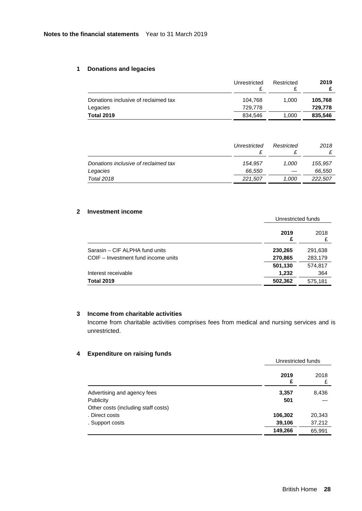# <span id="page-29-0"></span>**1 Donations and legacies**

|                                      | Unrestricted | Restricted | 2019    |
|--------------------------------------|--------------|------------|---------|
| Donations inclusive of reclaimed tax | 104.768      | 1.000      | 105,768 |
| Legacies                             | 729.778      |            | 729,778 |
| <b>Total 2019</b>                    | 834.546      | 1.000      | 835.546 |

|                                      | Unrestricted | Restricted | 2018    |
|--------------------------------------|--------------|------------|---------|
| Donations inclusive of reclaimed tax | 154.957      | 1.000      | 155.957 |
| Legacies                             | 66,550       |            | 66,550  |
| <b>Total 2018</b>                    | 221.507      | 1.000      | 222.507 |

# **2 Investment income**

|                                     | Unrestricted funds |         |
|-------------------------------------|--------------------|---------|
|                                     | 2019<br>£          | 2018    |
| Sarasin - CIF ALPHA fund units      | 230,265            | 291,638 |
| COIF – Investment fund income units | 270,865            | 283,179 |
|                                     | 501,130            | 574,817 |
| Interest receivable                 | 1,232              | 364     |
| <b>Total 2019</b>                   | 502,362            | 575,181 |

## **3 Income from charitable activities**

Income from charitable activities comprises fees from medical and nursing services and is unrestricted.

# **4 Expenditure on raising funds**

|                                     | Unrestricted funds |           |  |
|-------------------------------------|--------------------|-----------|--|
|                                     | 2019<br>£          | 2018<br>£ |  |
| Advertising and agency fees         | 3,357              | 8,436     |  |
| Publicity                           | 501                |           |  |
| Other costs (including staff costs) |                    |           |  |
| . Direct costs                      | 106,302            | 20,343    |  |
| . Support costs                     | 39,106             | 37,212    |  |
|                                     | 149,266            | 65,991    |  |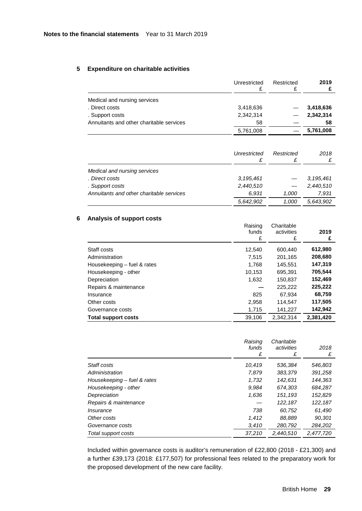## **5 Expenditure on charitable activities**

|                                          | Unrestricted | Restricted | 2019      |
|------------------------------------------|--------------|------------|-----------|
| Medical and nursing services             |              |            |           |
| . Direct costs                           | 3,418,636    |            | 3,418,636 |
| . Support costs                          | 2,342,314    |            | 2,342,314 |
| Annuitants and other charitable services | 58           |            | 58        |
|                                          | 5,761,008    |            | 5,761,008 |

|                                          | Unrestricted | Restricted | 2018      |
|------------------------------------------|--------------|------------|-----------|
| Medical and nursing services             |              |            |           |
| . Direct costs                           | 3,195,461    |            | 3,195,461 |
| . Support costs                          | 2,440,510    |            | 2,440,510 |
| Annuitants and other charitable services | 6.931        | 1.000      | 7,931     |
|                                          | 5,642,902    | 1.000      | 5,643,902 |

## **6 Analysis of support costs**

|                             | Raising | Charitable |           |
|-----------------------------|---------|------------|-----------|
|                             | funds   | activities | 2019      |
|                             | £       | £          | £         |
| Staff costs                 | 12,540  | 600,440    | 612,980   |
| Administration              | 7.515   | 201,165    | 208,680   |
| Housekeeping - fuel & rates | 1,768   | 145,551    | 147,319   |
| Housekeeping - other        | 10,153  | 695,391    | 705,544   |
| Depreciation                | 1,632   | 150,837    | 152,469   |
| Repairs & maintenance       |         | 225,222    | 225,222   |
| Insurance                   | 825     | 67,934     | 68,759    |
| Other costs                 | 2,958   | 114,547    | 117,505   |
| Governance costs            | 1,715   | 141,227    | 142,942   |
| <b>Total support costs</b>  | 39,106  | 2.342.314  | 2,381,420 |

|                             | Raising<br>funds<br>£ | Charitable<br>activities<br>£ | 2018<br>£ |
|-----------------------------|-----------------------|-------------------------------|-----------|
| Staff costs                 | 10,419                | 536,384                       | 546,803   |
| Administration              | 7,879                 | 383,379                       | 391,258   |
| Housekeeping – fuel & rates | 1,732                 | 142,631                       | 144.363   |
| Housekeeping - other        | 9.984                 | 674,303                       | 684,287   |
| Depreciation                | 1,636                 | 151,193                       | 152,829   |
| Repairs & maintenance       |                       | 122, 187                      | 122, 187  |
| Insurance                   | 738                   | 60.752                        | 61,490    |
| Other costs                 | 1,412                 | 88,889                        | 90.301    |
| Governance costs            | 3,410                 | 280,792                       | 284,202   |
| Total support costs         | 37.210                | 2.440.510                     | 2.477.720 |

Included within governance costs is auditor's remuneration of £22,800 (2018 - £21,300) and a further £39,173 (2018: £177,507) for professional fees related to the preparatory work for the proposed development of the new care facility.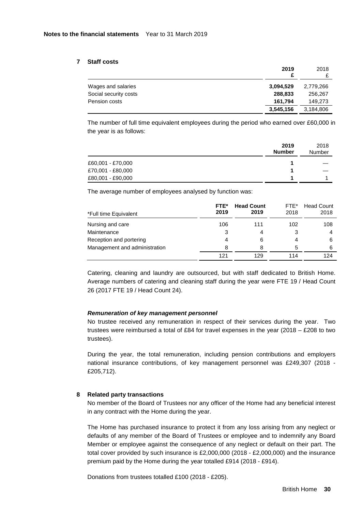#### **7 Staff costs**

|                       | 2019      | 2018      |
|-----------------------|-----------|-----------|
| Wages and salaries    | 3,094,529 | 2,779,266 |
| Social security costs | 288,833   | 256,267   |
| Pension costs         | 161,794   | 149.273   |
|                       | 3,545,156 | 3,184,806 |

The number of full time equivalent employees during the period who earned over £60,000 in the year is as follows:

|                   | 2019<br><b>Number</b> | 2018<br>Number |
|-------------------|-----------------------|----------------|
| £60,001 - £70,000 |                       |                |
| £70,001 - £80,000 |                       |                |
| £80,001 - £90,000 |                       |                |

The average number of employees analysed by function was:

| *Full time Equivalent         | FTE*<br>2019 | <b>Head Count</b><br>2019 | FTF*<br>2018 | <b>Head Count</b><br>2018 |
|-------------------------------|--------------|---------------------------|--------------|---------------------------|
| Nursing and care              | 106          | 111                       | 102          | 108                       |
| Maintenance                   | 3            | 4                         | 3            | 4                         |
| Reception and portering       | 4            | 6                         | 4            | 6                         |
| Management and administration | 8            | 8                         | 5            | 6                         |
|                               | 121          | 129                       | 114          | 124                       |

Catering, cleaning and laundry are outsourced, but with staff dedicated to British Home. Average numbers of catering and cleaning staff during the year were FTE 19 / Head Count 26 (2017 FTE 19 / Head Count 24).

#### *Remuneration of key management personnel*

No trustee received any remuneration in respect of their services during the year. Two trustees were reimbursed a total of £84 for travel expenses in the year (2018 – £208 to two trustees).

During the year, the total remuneration, including pension contributions and employers national insurance contributions, of key management personnel was £249,307 (2018 - £205,712).

#### **8 Related party transactions**

No member of the Board of Trustees nor any officer of the Home had any beneficial interest in any contract with the Home during the year.

The Home has purchased insurance to protect it from any loss arising from any neglect or defaults of any member of the Board of Trustees or employee and to indemnify any Board Member or employee against the consequence of any neglect or default on their part. The total cover provided by such insurance is £2,000,000 (2018 - £2,000,000) and the insurance premium paid by the Home during the year totalled £914 (2018 - £914).

Donations from trustees totalled £100 (2018 - £205).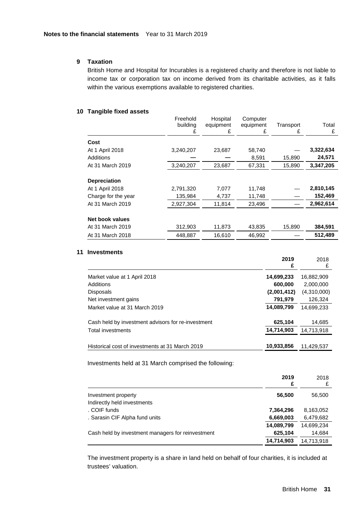# **9 Taxation**

British Home and Hospital for Incurables is a registered charity and therefore is not liable to income tax or corporation tax on income derived from its charitable activities, as it falls within the various exemptions available to registered charities.

## **10 Tangible fixed assets**

|                                        | Freehold<br>building<br>£ | Hospital<br>equipment<br>£ | Computer<br>equipment<br>£ | Transport<br>£ | Total<br>£ |
|----------------------------------------|---------------------------|----------------------------|----------------------------|----------------|------------|
| Cost                                   |                           |                            |                            |                |            |
| At 1 April 2018                        | 3,240,207                 | 23,687                     | 58,740                     |                | 3,322,634  |
| Additions                              |                           |                            | 8,591                      | 15,890         | 24,571     |
| At 31 March 2019                       | 3,240,207                 | 23,687                     | 67,331                     | 15,890         | 3,347,205  |
| <b>Depreciation</b><br>At 1 April 2018 | 2,791,320                 | 7.077                      | 11.748                     |                | 2,810,145  |
| Charge for the year                    | 135,984                   | 4,737                      | 11,748                     |                | 152,469    |
| At 31 March 2019                       | 2,927,304                 | 11,814                     | 23,496                     |                | 2,962,614  |
| Net book values<br>At 31 March 2019    | 312,903                   | 11,873                     | 43,835                     | 15,890         | 384,591    |
| At 31 March 2018                       | 448,887                   | 16,610                     | 46,992                     |                | 512,489    |

## **11 Investments**

|                                                    | 2019<br>£   | 2018<br>£   |
|----------------------------------------------------|-------------|-------------|
| Market value at 1 April 2018                       | 14,699,233  | 16,882,909  |
| Additions                                          | 600,000     | 2.000.000   |
| <b>Disposals</b>                                   | (2,001,412) | (4,310,000) |
| Net investment gains                               | 791,979     | 126.324     |
| Market value at 31 March 2019                      | 14,089,799  | 14.699.233  |
| Cash held by investment advisors for re-investment | 625,104     | 14,685      |
| Total investments                                  | 14,714,903  | 14.713.918  |
| Historical cost of investments at 31 March 2019    | 10,933,856  | 11.429.537  |

Investments held at 31 March comprised the following:

|                                                   | 2019<br>£ | 2018<br>£  |
|---------------------------------------------------|-----------|------------|
| Investment property                               | 56,500    | 56,500     |
| Indirectly held investments                       |           |            |
| . COIF funds                                      | 7,364,296 | 8,163,052  |
| . Sarasin CIF Alpha fund units                    | 6,669,003 | 6,479,682  |
| 14,089,799                                        |           | 14,699,234 |
| Cash held by investment managers for reinvestment | 625,104   | 14,684     |
| 14,714,903                                        |           | 14.713.918 |

The investment property is a share in land held on behalf of four charities, it is included at trustees' valuation.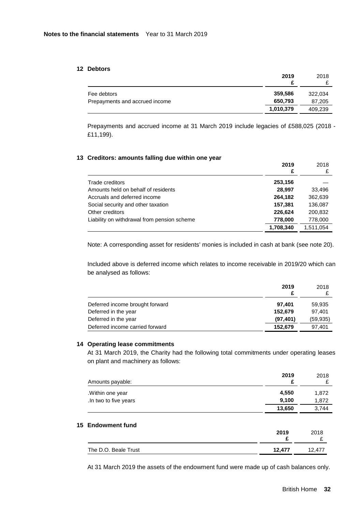## **12 Debtors**

|                                | 2019      | 2018    |
|--------------------------------|-----------|---------|
| Fee debtors                    | 359,586   | 322,034 |
| Prepayments and accrued income | 650,793   | 87,205  |
|                                | 1,010,379 | 409,239 |

Prepayments and accrued income at 31 March 2019 include legacies of £588,025 (2018 - £11,199).

## **13 Creditors: amounts falling due within one year**

|                                             | 2019<br>£ | 2018      |
|---------------------------------------------|-----------|-----------|
| Trade creditors                             | 253,156   |           |
| Amounts held on behalf of residents         | 28,997    | 33,496    |
| Accruals and deferred income                | 264,182   | 362,639   |
| Social security and other taxation          | 157,381   | 136,087   |
| Other creditors                             | 226,624   | 200,832   |
| Liability on withdrawal from pension scheme | 778,000   | 778,000   |
|                                             | 1,708,340 | 1.511.054 |

Note: A corresponding asset for residents' monies is included in cash at bank (see note 20).

Included above is deferred income which relates to income receivable in 2019/20 which can be analysed as follows:

|                                 | 2019      | 2018      |
|---------------------------------|-----------|-----------|
| Deferred income brought forward | 97.401    | 59.935    |
| Deferred in the year            | 152.679   | 97.401    |
| Deferred in the year            | (97, 401) | (59, 935) |
| Deferred income carried forward | 152,679   | 97.401    |

#### **14 Operating lease commitments**

At 31 March 2019, the Charity had the following total commitments under operating leases on plant and machinery as follows:

| Amounts payable:      | 2019   | 2018<br>₽ |
|-----------------------|--------|-----------|
| .Within one year      | 4.550  | 1,872     |
| .In two to five years | 9,100  | 1.872     |
|                       | 13,650 | 3.744     |

# **15 Endowment fund**

|                      | 2019   | 2018<br>- |
|----------------------|--------|-----------|
| The D.O. Beale Trust | 12,477 | 12.477    |

At 31 March 2019 the assets of the endowment fund were made up of cash balances only.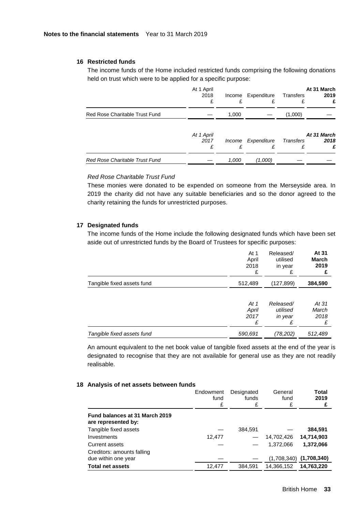## **16 Restricted funds**

The income funds of the Home included restricted funds comprising the following donations held on trust which were to be applied for a specific purpose:

|                                | At 1 April<br>2018<br>£ | £     | Income Expenditure      | Transfers | At 31 March<br>2019<br>£ |
|--------------------------------|-------------------------|-------|-------------------------|-----------|--------------------------|
| Red Rose Charitable Trust Fund |                         | 1,000 |                         | (1,000)   |                          |
|                                | At 1 April<br>2017<br>£ | £     | Income Expenditure<br>£ | Transfers | At 31 March<br>2018<br>£ |
| Red Rose Charitable Trust Fund |                         | 1,000 | (1,000)                 |           |                          |

# *Red Rose Charitable Trust Fund*

These monies were donated to be expended on someone from the Merseyside area. In 2019 the charity did not have any suitable beneficiaries and so the donor agreed to the charity retaining the funds for unrestricted purposes.

## **17 Designated funds**

The income funds of the Home include the following designated funds which have been set aside out of unrestricted funds by the Board of Trustees for specific purposes:

|                            | At $1$  | Released/  | At 31   |
|----------------------------|---------|------------|---------|
|                            | April   | utilised   | March   |
|                            | 2018    | in year    | 2019    |
|                            | £       | £          | £       |
| Tangible fixed assets fund | 512,489 | (127, 899) | 384,590 |
|                            | At $1$  | Released/  | At 31   |
|                            | April   | utilised   | March   |
|                            | 2017    | in year    | 2018    |
|                            | £       | £          | £       |
| Tangible fixed assets fund | 590,691 | (78,202)   | 512,489 |

An amount equivalent to the net book value of tangible fixed assets at the end of the year is designated to recognise that they are not available for general use as they are not readily realisable.

#### **18 Analysis of net assets between funds**

|                                                       | Endowment<br>fund<br>£ | Designated<br>funds<br>£ | General<br>fund<br>£ | Total<br>2019<br>£          |
|-------------------------------------------------------|------------------------|--------------------------|----------------------|-----------------------------|
| Fund balances at 31 March 2019<br>are represented by: |                        |                          |                      |                             |
| Tangible fixed assets                                 |                        | 384,591                  |                      | 384,591                     |
| Investments                                           | 12.477                 |                          | 14,702,426           | 14,714,903                  |
| <b>Current assets</b>                                 |                        |                          | 1.372.066            | 1,372,066                   |
| Creditors: amounts falling<br>due within one year     |                        |                          |                      | $(1,708,340)$ $(1,708,340)$ |
| <b>Total net assets</b>                               | 12,477                 | 384.591                  | 14,366,152           | 14,763,220                  |
|                                                       |                        |                          |                      |                             |